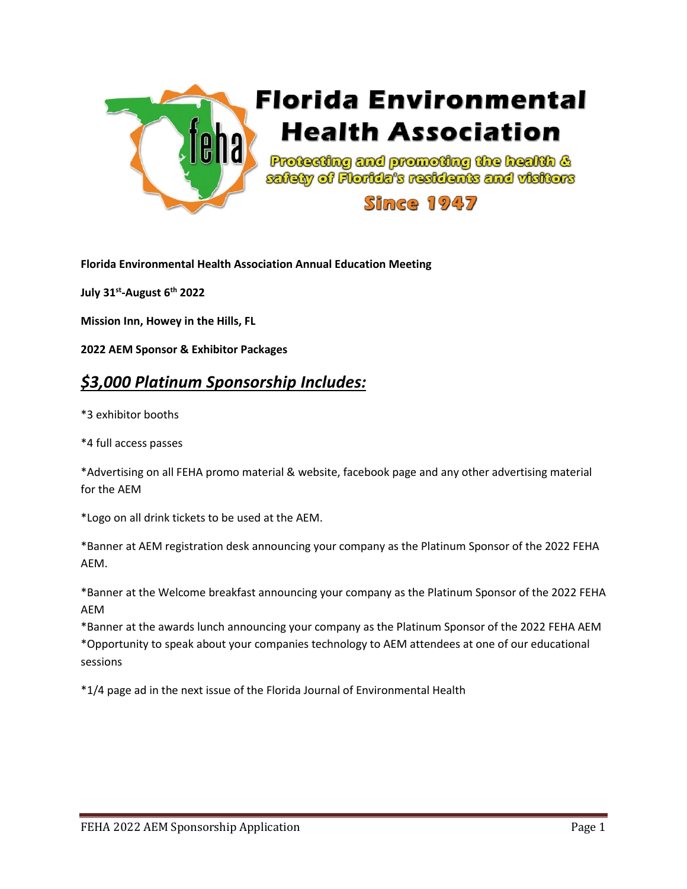

**Florida Environmental Health Association Annual Education Meeting**

**July 31st -August 6th 2022**

**Mission Inn, Howey in the Hills, FL**

**2022 AEM Sponsor & Exhibitor Packages**

#### *\$3,000 Platinum Sponsorship Includes:*

\*3 exhibitor booths

\*4 full access passes

\*Advertising on all FEHA promo material & website, facebook page and any other advertising material for the AEM

\*Logo on all drink tickets to be used at the AEM.

\*Banner at AEM registration desk announcing your company as the Platinum Sponsor of the 2022 FEHA AEM.

\*Banner at the Welcome breakfast announcing your company as the Platinum Sponsor of the 2022 FEHA AEM

\*Banner at the awards lunch announcing your company as the Platinum Sponsor of the 2022 FEHA AEM \*Opportunity to speak about your companies technology to AEM attendees at one of our educational sessions

\*1/4 page ad in the next issue of the Florida Journal of Environmental Health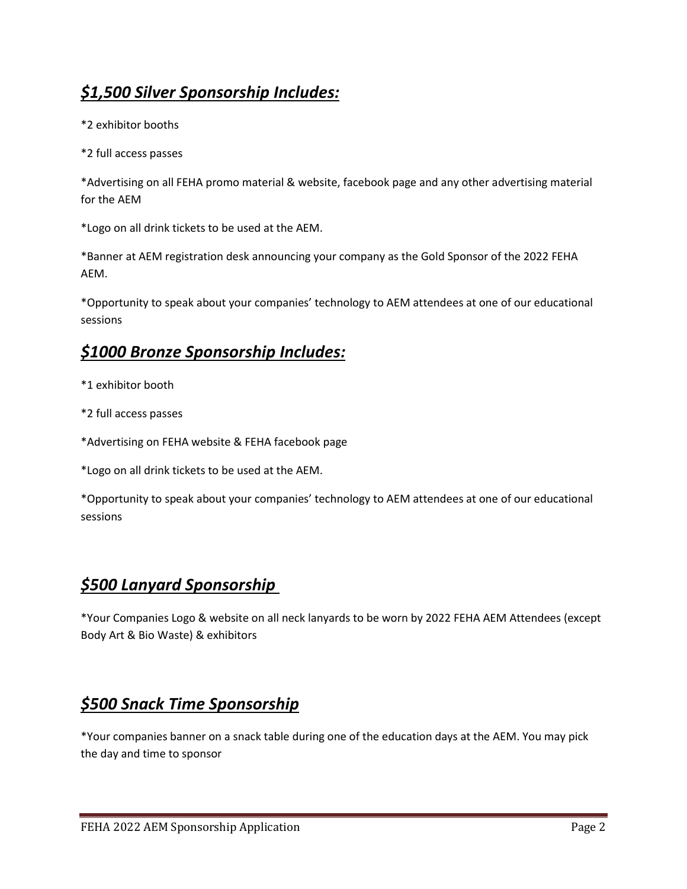# *\$1,500 Silver Sponsorship Includes:*

\*2 exhibitor booths

\*2 full access passes

\*Advertising on all FEHA promo material & website, facebook page and any other advertising material for the AEM

\*Logo on all drink tickets to be used at the AEM.

\*Banner at AEM registration desk announcing your company as the Gold Sponsor of the 2022 FEHA AEM.

\*Opportunity to speak about your companies' technology to AEM attendees at one of our educational sessions

#### *\$1000 Bronze Sponsorship Includes:*

- \*1 exhibitor booth
- \*2 full access passes
- \*Advertising on FEHA website & FEHA facebook page

\*Logo on all drink tickets to be used at the AEM.

\*Opportunity to speak about your companies' technology to AEM attendees at one of our educational sessions

## *\$500 Lanyard Sponsorship*

\*Your Companies Logo & website on all neck lanyards to be worn by 2022 FEHA AEM Attendees (except Body Art & Bio Waste) & exhibitors

## *\$500 Snack Time Sponsorship*

\*Your companies banner on a snack table during one of the education days at the AEM. You may pick the day and time to sponsor